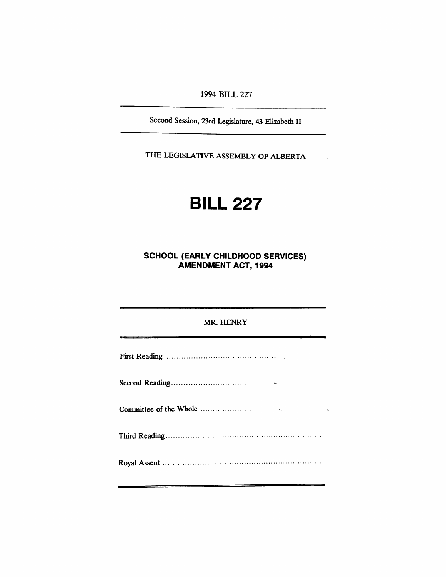1994 BILL 227

Second Session, 23rd Legislature, 43 Elizabeth II

THE LEGISLATIVE ASSEMBLY OF ALBERTA

# **BILL 227**

**SCHOOL (EARLY CHILDHOOD SERVICES) AMENDMENT ACT, 1994**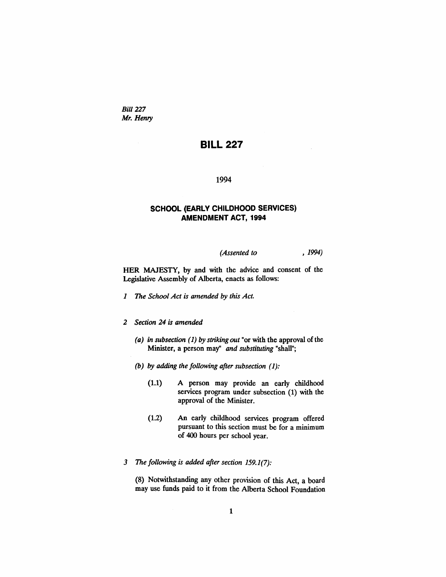*Bill* 227 *Mr. Henry*

## BILL 227

#### 1994

### SCHOOL (EARLY CHILDHOOD SERVICES) AMENDMENT ACT, 1994

*(Assented to* , 1994)

HER MAJESTY, by and with the advice and consent of the Legislative Assembly of Alberta, enacts as follows:

- *1 The School Act is amended by this Act.*
- *2 Section* 24 *is amended*
	- *(a) in subsection* (1) *by striking out* "or with the approval of the Minister, a person may" *and substituting* "shall";
	- *(b) by adding the following after subsection* (1):
		- (1.1) A person may provide an early childhood services program under subsection (1) with the approval of the Minister.
		- (1.2) An early childhood services program offered pursuant to this section must be for a minimum of 400 hours per school year.
- *3 The following is added after section* 159.1(7):

(8) Notwithstanding any other provision of this Act, a board may use funds paid to it from the Alberta School Foundation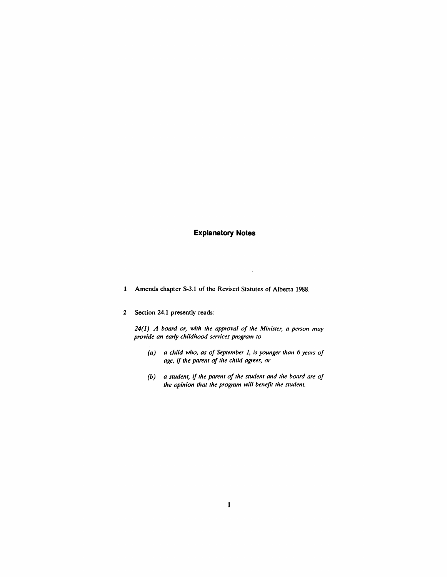### **Explanatory Notes**

1 Amends chapter S-3.1 of the Revised Statutes of Alberta 1988.

#### 2 Section 24.1 presently reads:

*24(1) A board or, with the approval of the Minister, a person may provide* an early childhood services program to

- *(a) a child who, as of September* 1, *is younger than* 6 *years of age, if the parent of the child agrees, or*
- *(b) a student,* if *the parent of the student and the board are of the opinion that the program will benefit the student.*